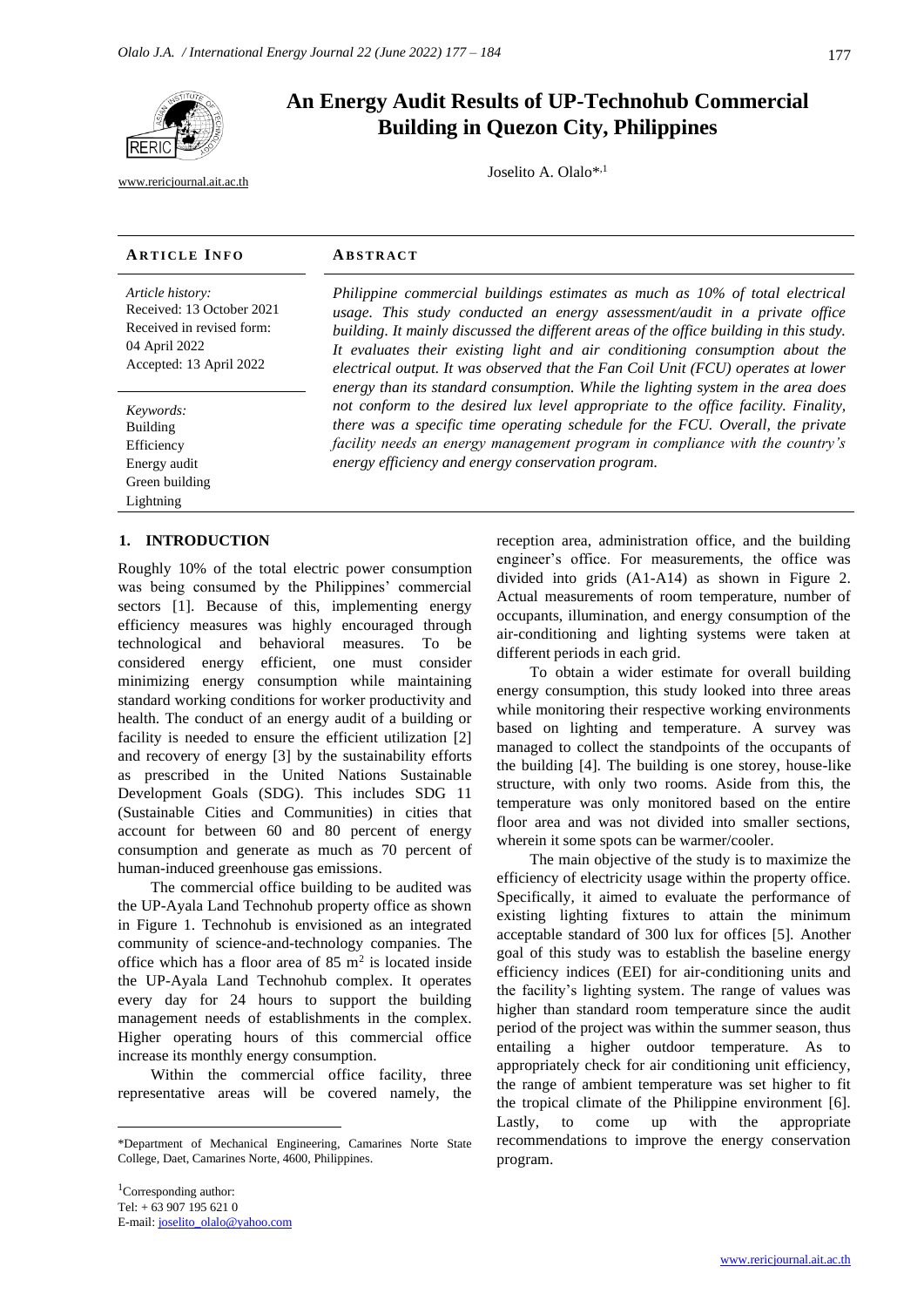

[www.rericjournal.ait.ac.th](file:///C:/Reric-Data/JOURNAL/Accepted%20Paper/Users/RERIC/Vol.11%20No.2/Formatted/For%20Print/www.rericjournal.ait.ac.th)

# **An Energy Audit Results of UP-Technohub Commercial Building in Quezon City, Philippines**

Joselito A. Olalo\*,1

## **AR T I C L E I N F O AB S T R A C T**

*Article history:* Received: 13 October 2021 Received in revised form: 04 April 2022 Accepted: 13 April 2022

*Keywords:* Building Efficiency Energy audit Green building Lightning

# <sup>1</sup> **1. INTRODUCTION**

Roughly 10% of the total electric power consumption was being consumed by the Philippines' commercial sectors [1]. Because of this, implementing energy efficiency measures was highly encouraged through technological and behavioral measures. To be considered energy efficient, one must consider minimizing energy consumption while maintaining standard working conditions for worker productivity and health. The conduct of an energy audit of a building or facility is needed to ensure the efficient utilization [2] and recovery of energy [3] by the sustainability efforts as prescribed in the United Nations Sustainable Development Goals (SDG). This includes SDG 11 (Sustainable Cities and Communities) in cities that account for between 60 and 80 percent of energy consumption and generate as much as 70 percent of human-induced greenhouse gas emissions.

The commercial office building to be audited was the UP-Ayala Land Technohub property office as shown in Figure 1. Technohub is envisioned as an integrated community of science-and-technology companies. The office which has a floor area of  $85 \text{ m}^2$  is located inside the UP-Ayala Land Technohub complex. It operates every day for 24 hours to support the building management needs of establishments in the complex. Higher operating hours of this commercial office increase its monthly energy consumption.

Within the commercial office facility, three representative areas will be covered namely, the

*Philippine commercial buildings estimates as much as 10% of total electrical usage. This study conducted an energy assessment/audit in a private office building. It mainly discussed the different areas of the office building in this study. It evaluates their existing light and air conditioning consumption about the electrical output. It was observed that the Fan Coil Unit (FCU) operates at lower energy than its standard consumption. While the lighting system in the area does not conform to the desired lux level appropriate to the office facility. Finality, there was a specific time operating schedule for the FCU. Overall, the private facility needs an energy management program in compliance with the country's energy efficiency and energy conservation program.*

> reception area, administration office, and the building engineer's office. For measurements, the office was divided into grids (A1-A14) as shown in Figure 2. Actual measurements of room temperature, number of occupants, illumination, and energy consumption of the air-conditioning and lighting systems were taken at different periods in each grid.

> To obtain a wider estimate for overall building energy consumption, this study looked into three areas while monitoring their respective working environments based on lighting and temperature. A survey was managed to collect the standpoints of the occupants of the building [4]. The building is one storey, house-like structure, with only two rooms. Aside from this, the temperature was only monitored based on the entire floor area and was not divided into smaller sections, wherein it some spots can be warmer/cooler.

> The main objective of the study is to maximize the efficiency of electricity usage within the property office. Specifically, it aimed to evaluate the performance of existing lighting fixtures to attain the minimum acceptable standard of 300 lux for offices [5]. Another goal of this study was to establish the baseline energy efficiency indices (EEI) for air-conditioning units and the facility's lighting system. The range of values was higher than standard room temperature since the audit period of the project was within the summer season, thus entailing a higher outdoor temperature. As to appropriately check for air conditioning unit efficiency, the range of ambient temperature was set higher to fit the tropical climate of the Philippine environment [6]. Lastly, to come up with the appropriate recommendations to improve the energy conservation program.

<sup>\*</sup>Department of Mechanical Engineering, Camarines Norte State College, Daet, Camarines Norte, 4600, Philippines.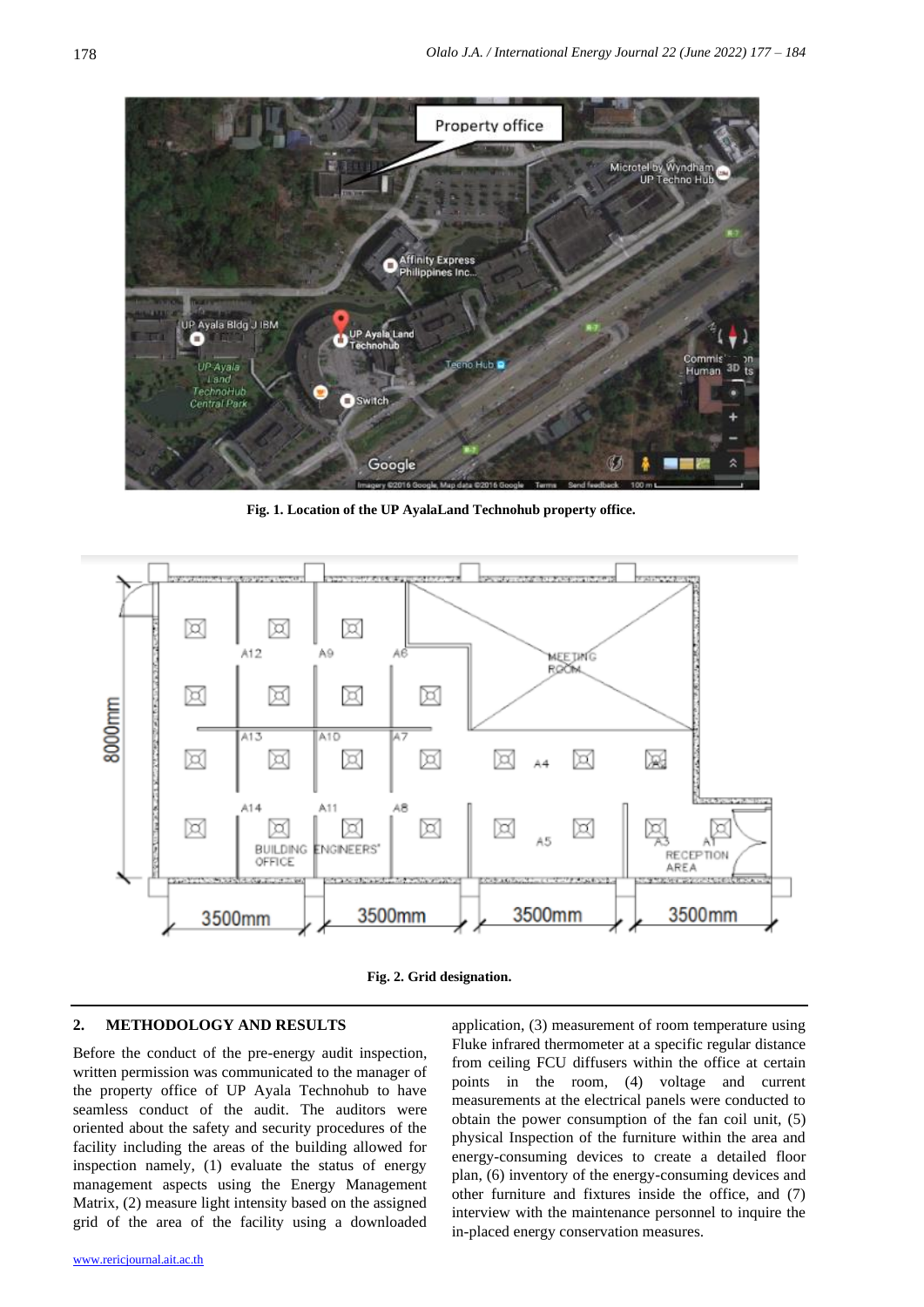

**Fig. 1. Location of the UP AyalaLand Technohub property office.**





#### **2. METHODOLOGY AND RESULTS**

Before the conduct of the pre-energy audit inspection, written permission was communicated to the manager of the property office of UP Ayala Technohub to have seamless conduct of the audit. The auditors were oriented about the safety and security procedures of the facility including the areas of the building allowed for inspection namely, (1) evaluate the status of energy management aspects using the Energy Management Matrix, (2) measure light intensity based on the assigned grid of the area of the facility using a downloaded

application, (3) measurement of room temperature using Fluke infrared thermometer at a specific regular distance from ceiling FCU diffusers within the office at certain points in the room, (4) voltage and current measurements at the electrical panels were conducted to obtain the power consumption of the fan coil unit, (5) physical Inspection of the furniture within the area and energy-consuming devices to create a detailed floor plan, (6) inventory of the energy-consuming devices and other furniture and fixtures inside the office, and (7) interview with the maintenance personnel to inquire the in-placed energy conservation measures.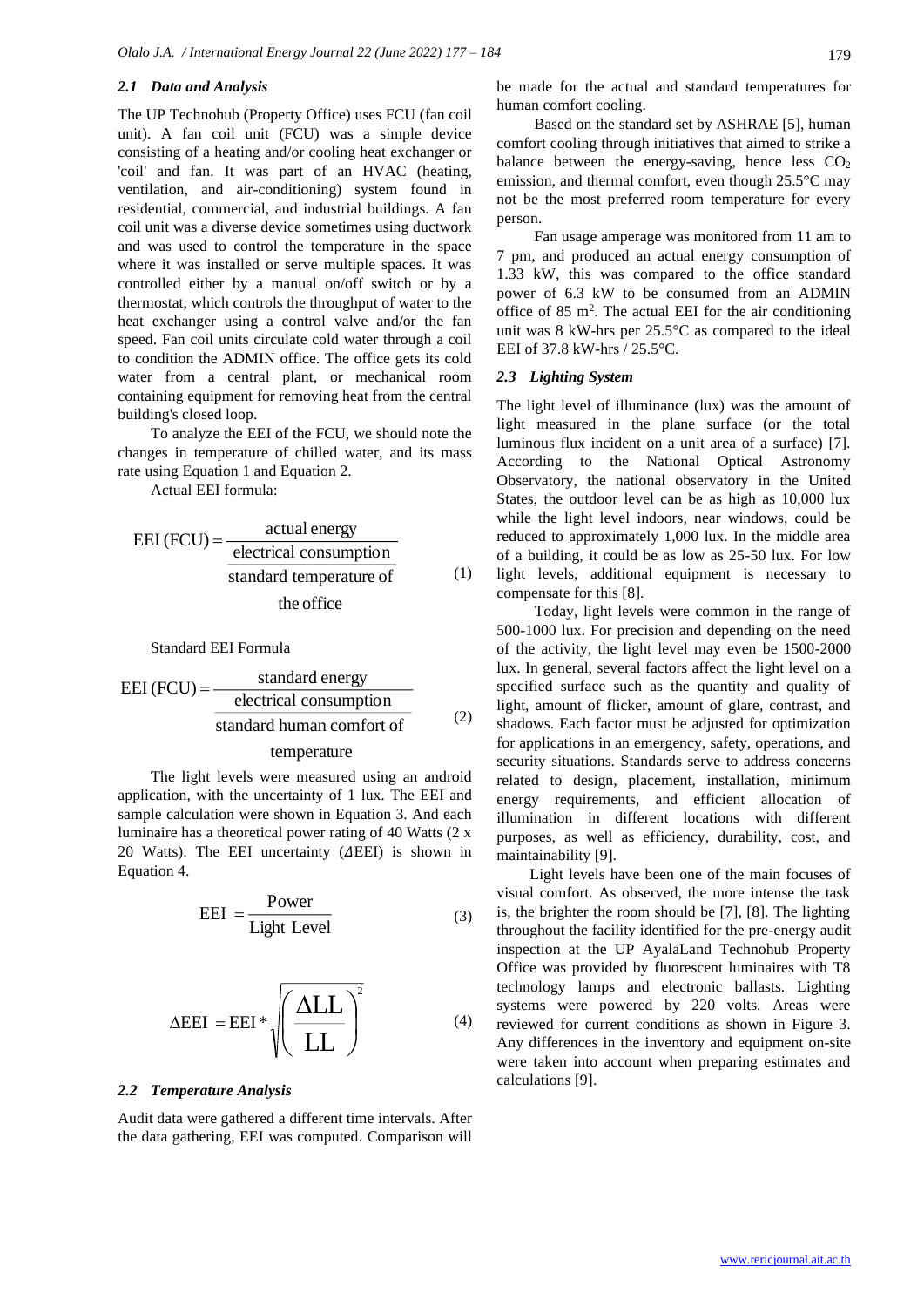#### *2.1 Data and Analysis*

The UP Technohub (Property Office) uses FCU (fan coil unit). A fan coil unit (FCU) was a simple device consisting of a heating and/or cooling heat exchanger or 'coil' and fan. It was part of an HVAC (heating, ventilation, and air-conditioning) system found in residential, commercial, and industrial buildings. A fan coil unit was a diverse device sometimes using ductwork and was used to control the temperature in the space where it was installed or serve multiple spaces. It was controlled either by a manual on/off switch or by a thermostat, which controls the throughput of water to the heat exchanger using a control valve and/or the fan speed. Fan coil units circulate cold water through a coil to condition the ADMIN office. The office gets its cold water from a central plant, or mechanical room containing equipment for removing heat from the central building's closed loop.

To analyze the EEI of the FCU, we should note the changes in temperature of chilled water, and its mass rate using Equation 1 and Equation 2.

Actual EEI formula:

$$
EEI (FCU) = \frac{actual energy}{electrical consumption}
$$
  
standard temperature of  
the office

#### Standard EEI Formula

$$
EEI (FCU) = \frac{\text{standard energy}}{\text{electrical consumption}}
$$
\n
$$
\text{standard human comfort of} \tag{2}
$$

#### temperature

The light levels were measured using an android application, with the uncertainty of 1 lux. The EEI and sample calculation were shown in Equation 3. And each luminaire has a theoretical power rating of 40 Watts (2 x 20 Watts). The EEI uncertainty ( $\Delta$ EEI) is shown in Equation 4.

$$
EEI = \frac{Power}{Light Level}
$$
 (3)

$$
\Delta EEI = EEI * \sqrt{\left(\frac{\Delta LL}{LL}\right)^2} \tag{4}
$$

#### *2.2 Temperature Analysis*

Audit data were gathered a different time intervals. After the data gathering, EEI was computed. Comparison will be made for the actual and standard temperatures for human comfort cooling.

Based on the standard set by ASHRAE [5], human comfort cooling through initiatives that aimed to strike a balance between the energy-saving, hence less  $CO<sub>2</sub>$ emission, and thermal comfort, even though 25.5°C may not be the most preferred room temperature for every person.

Fan usage amperage was monitored from 11 am to 7 pm, and produced an actual energy consumption of 1.33 kW, this was compared to the office standard power of 6.3 kW to be consumed from an ADMIN office of 85  $m^2$ . The actual EEI for the air conditioning unit was 8 kW-hrs per 25.5°C as compared to the ideal EEI of 37.8 kW-hrs / 25.5°C.

#### *2.3 Lighting System*

The light level of illuminance (lux) was the amount of light measured in the plane surface (or the total luminous flux incident on a unit area of a surface) [7]. According to the National Optical Astronomy Observatory, the national observatory in the United States, the outdoor level can be as high as 10,000 lux while the light level indoors, near windows, could be reduced to approximately 1,000 lux. In the middle area of a building, it could be as low as 25-50 lux. For low light levels, additional equipment is necessary to compensate for this [8].

Today, light levels were common in the range of 500-1000 lux. For precision and depending on the need of the activity, the light level may even be 1500-2000 lux. In general, several factors affect the light level on a specified surface such as the quantity and quality of light, amount of flicker, amount of glare, contrast, and shadows. Each factor must be adjusted for optimization for applications in an emergency, safety, operations, and security situations. Standards serve to address concerns related to design, placement, installation, minimum energy requirements, and efficient allocation of illumination in different locations with different purposes, as well as efficiency, durability, cost, and maintainability [9].

Light levels have been one of the main focuses of visual comfort. As observed, the more intense the task is, the brighter the room should be [7], [8]. The lighting throughout the facility identified for the pre-energy audit inspection at the UP AyalaLand Technohub Property Office was provided by fluorescent luminaires with T8 technology lamps and electronic ballasts. Lighting systems were powered by 220 volts. Areas were reviewed for current conditions as shown in Figure 3. Any differences in the inventory and equipment on-site were taken into account when preparing estimates and calculations [9].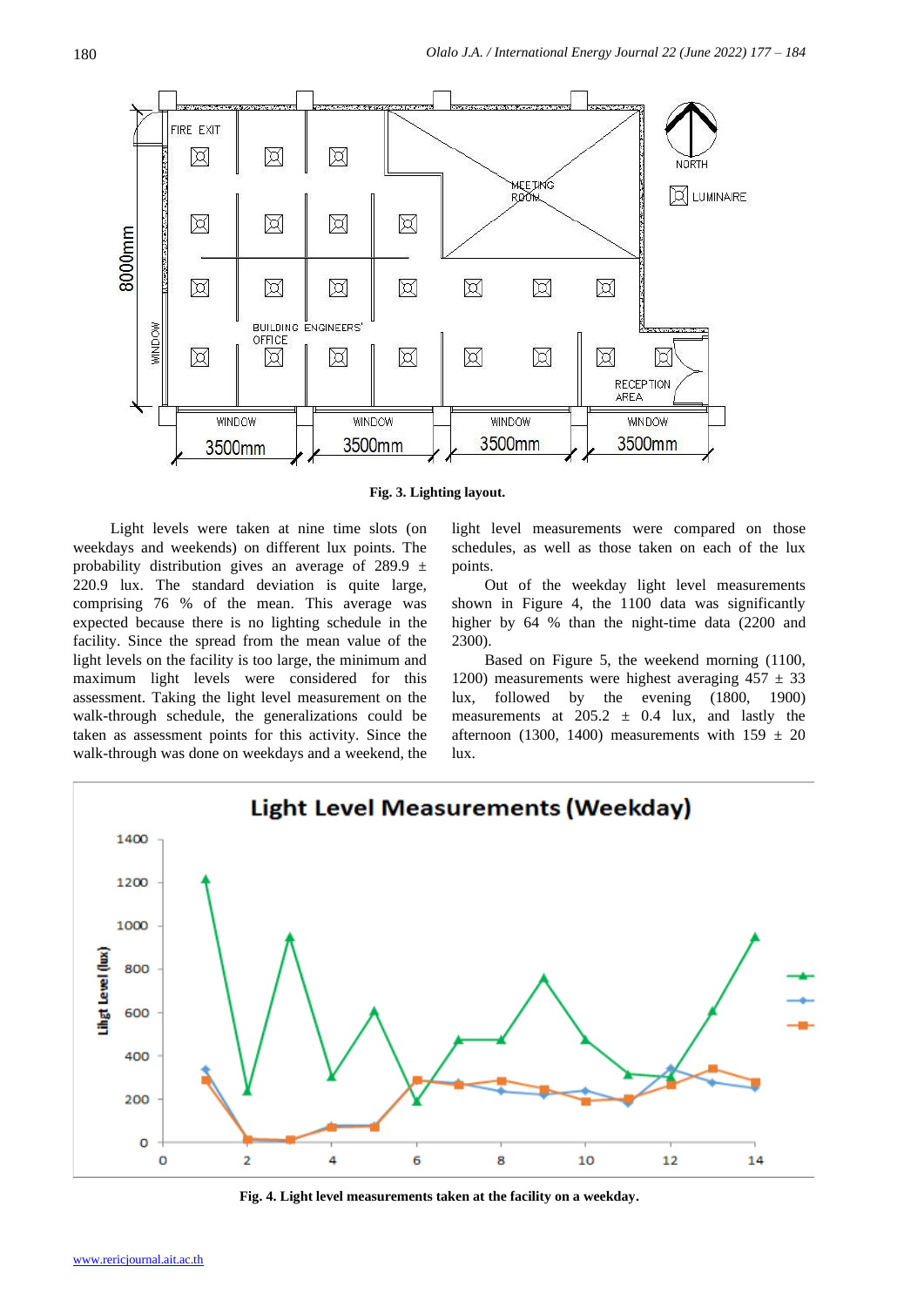

**Fig. 3. Lighting layout.**

Light levels were taken at nine time slots (on weekdays and weekends) on different lux points. The probability distribution gives an average of 289.9  $\pm$ 220.9 lux. The standard deviation is quite large, comprising 76 % of the mean. This average was expected because there is no lighting schedule in the facility. Since the spread from the mean value of the light levels on the facility is too large, the minimum and maximum light levels were considered for this assessment. Taking the light level measurement on the walk-through schedule, the generalizations could be taken as assessment points for this activity. Since the walk-through was done on weekdays and a weekend, the light level measurements were compared on those schedules, as well as those taken on each of the lux points.

Out of the weekday light level measurements shown in Figure 4, the 1100 data was significantly higher by 64 % than the night-time data (2200 and 2300).

Based on Figure 5, the weekend morning (1100, 1200) measurements were highest averaging  $457 \pm 33$ lux, followed by the evening (1800, 1900) measurements at  $205.2 \pm 0.4$  lux, and lastly the afternoon (1300, 1400) measurements with  $159 \pm 20$ lux.



**Fig. 4. Light level measurements taken at the facility on a weekday.**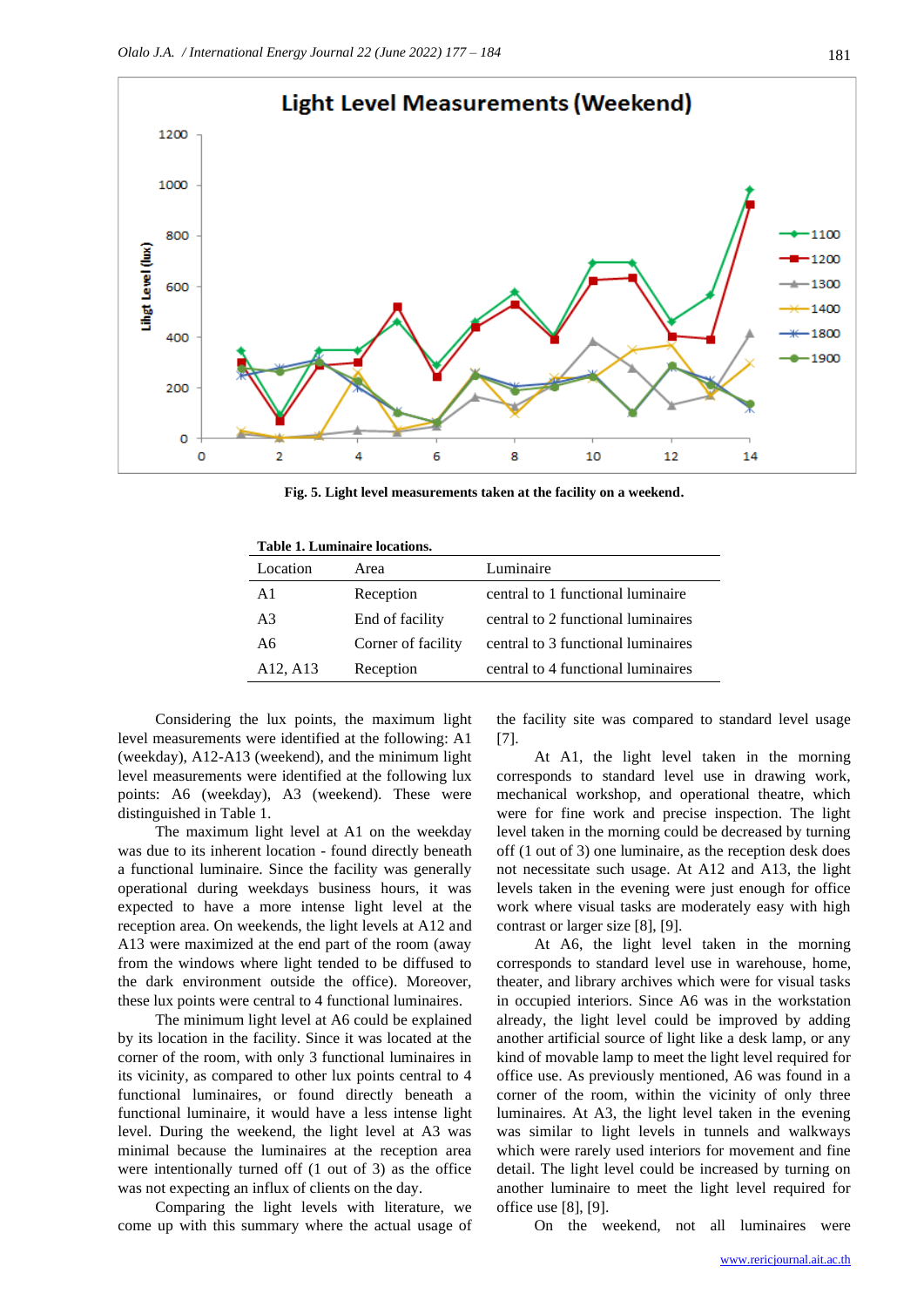

**Fig. 5. Light level measurements taken at the facility on a weekend.**

| Table 1. Luminaire locations. |                                    |
|-------------------------------|------------------------------------|
| Area                          | Luminaire                          |
| Reception                     | central to 1 functional luminaire  |
| End of facility               | central to 2 functional luminaires |
| Corner of facility            | central to 3 functional luminaires |
| Reception                     | central to 4 functional luminaires |
|                               |                                    |

Considering the lux points, the maximum light level measurements were identified at the following: A1 (weekday), A12-A13 (weekend), and the minimum light level measurements were identified at the following lux points: A6 (weekday), A3 (weekend). These were distinguished in Table 1.

The maximum light level at A1 on the weekday was due to its inherent location - found directly beneath a functional luminaire. Since the facility was generally operational during weekdays business hours, it was expected to have a more intense light level at the reception area. On weekends, the light levels at A12 and A13 were maximized at the end part of the room (away from the windows where light tended to be diffused to the dark environment outside the office). Moreover, these lux points were central to 4 functional luminaires.

The minimum light level at A6 could be explained by its location in the facility. Since it was located at the corner of the room, with only 3 functional luminaires in its vicinity, as compared to other lux points central to 4 functional luminaires, or found directly beneath a functional luminaire, it would have a less intense light level. During the weekend, the light level at A3 was minimal because the luminaires at the reception area were intentionally turned off (1 out of 3) as the office was not expecting an influx of clients on the day.

Comparing the light levels with literature, we come up with this summary where the actual usage of the facility site was compared to standard level usage [7].

At A1, the light level taken in the morning corresponds to standard level use in drawing work, mechanical workshop, and operational theatre, which were for fine work and precise inspection. The light level taken in the morning could be decreased by turning off (1 out of 3) one luminaire, as the reception desk does not necessitate such usage. At A12 and A13, the light levels taken in the evening were just enough for office work where visual tasks are moderately easy with high contrast or larger size [8], [9].

At A6, the light level taken in the morning corresponds to standard level use in warehouse, home, theater, and library archives which were for visual tasks in occupied interiors. Since A6 was in the workstation already, the light level could be improved by adding another artificial source of light like a desk lamp, or any kind of movable lamp to meet the light level required for office use. As previously mentioned, A6 was found in a corner of the room, within the vicinity of only three luminaires. At A3, the light level taken in the evening was similar to light levels in tunnels and walkways which were rarely used interiors for movement and fine detail. The light level could be increased by turning on another luminaire to meet the light level required for office use [8], [9].

On the weekend, not all luminaires were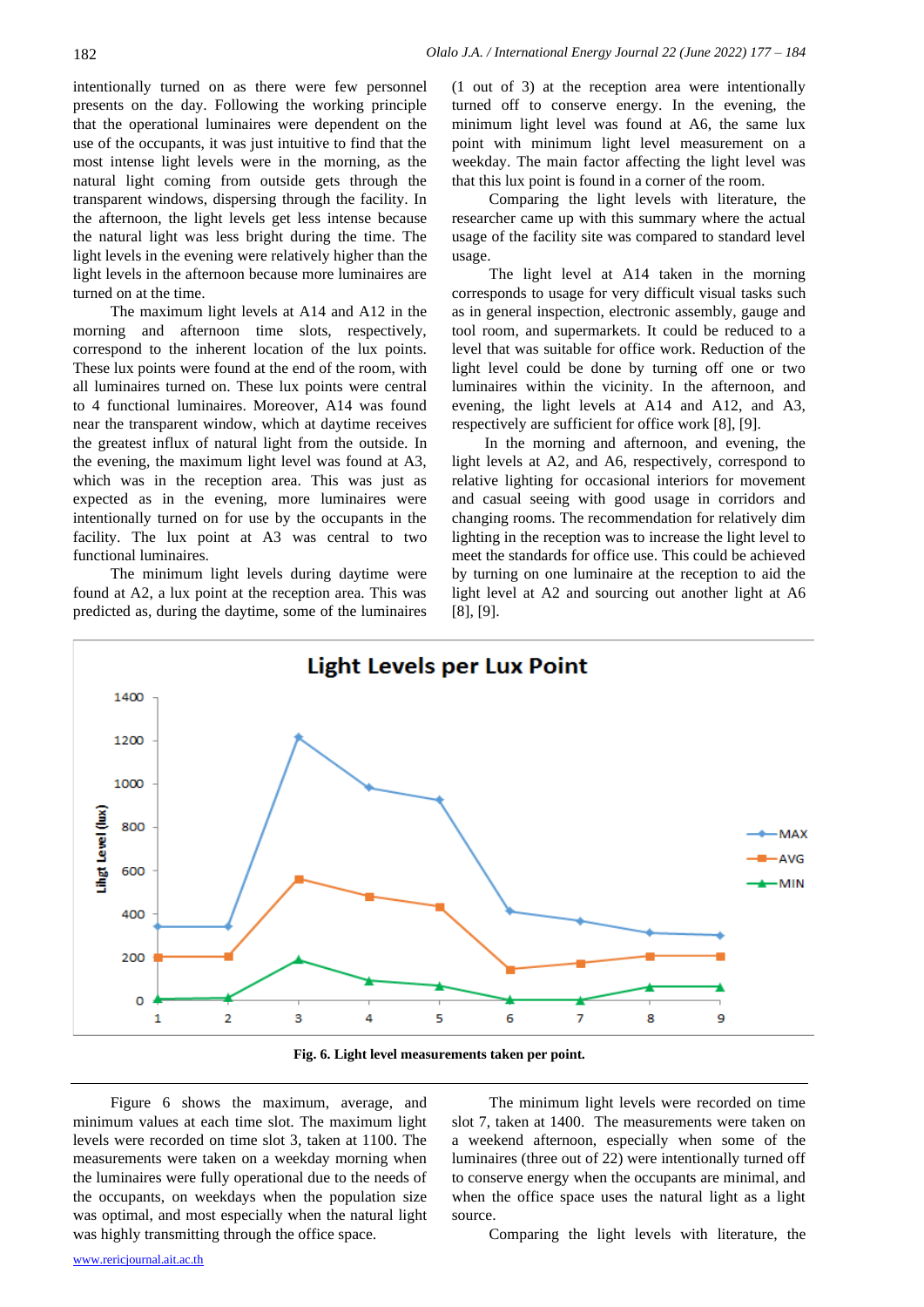intentionally turned on as there were few personnel presents on the day. Following the working principle that the operational luminaires were dependent on the use of the occupants, it was just intuitive to find that the most intense light levels were in the morning, as the natural light coming from outside gets through the transparent windows, dispersing through the facility. In the afternoon, the light levels get less intense because the natural light was less bright during the time. The light levels in the evening were relatively higher than the light levels in the afternoon because more luminaires are turned on at the time.

The maximum light levels at A14 and A12 in the morning and afternoon time slots, respectively, correspond to the inherent location of the lux points. These lux points were found at the end of the room, with all luminaires turned on. These lux points were central to 4 functional luminaires. Moreover, A14 was found near the transparent window, which at daytime receives the greatest influx of natural light from the outside. In the evening, the maximum light level was found at A3, which was in the reception area. This was just as expected as in the evening, more luminaires were intentionally turned on for use by the occupants in the facility. The lux point at A3 was central to two functional luminaires.

The minimum light levels during daytime were found at A2, a lux point at the reception area. This was predicted as, during the daytime, some of the luminaires (1 out of 3) at the reception area were intentionally turned off to conserve energy. In the evening, the minimum light level was found at A6, the same lux point with minimum light level measurement on a weekday. The main factor affecting the light level was that this lux point is found in a corner of the room.

Comparing the light levels with literature, the researcher came up with this summary where the actual usage of the facility site was compared to standard level usage.

The light level at A14 taken in the morning corresponds to usage for very difficult visual tasks such as in general inspection, electronic assembly, gauge and tool room, and supermarkets. It could be reduced to a level that was suitable for office work. Reduction of the light level could be done by turning off one or two luminaires within the vicinity. In the afternoon, and evening, the light levels at A14 and A12, and A3, respectively are sufficient for office work [8], [9].

In the morning and afternoon, and evening, the light levels at A2, and A6, respectively, correspond to relative lighting for occasional interiors for movement and casual seeing with good usage in corridors and changing rooms. The recommendation for relatively dim lighting in the reception was to increase the light level to meet the standards for office use. This could be achieved by turning on one luminaire at the reception to aid the light level at A2 and sourcing out another light at A6 [8], [9].



**Fig. 6. Light level measurements taken per point.**

Figure 6 shows the maximum, average, and minimum values at each time slot. The maximum light levels were recorded on time slot 3, taken at 1100. The measurements were taken on a weekday morning when the luminaires were fully operational due to the needs of the occupants, on weekdays when the population size was optimal, and most especially when the natural light was highly transmitting through the office space.

The minimum light levels were recorded on time slot 7, taken at 1400. The measurements were taken on a weekend afternoon, especially when some of the luminaires (three out of 22) were intentionally turned off to conserve energy when the occupants are minimal, and when the office space uses the natural light as a light source.

Comparing the light levels with literature, the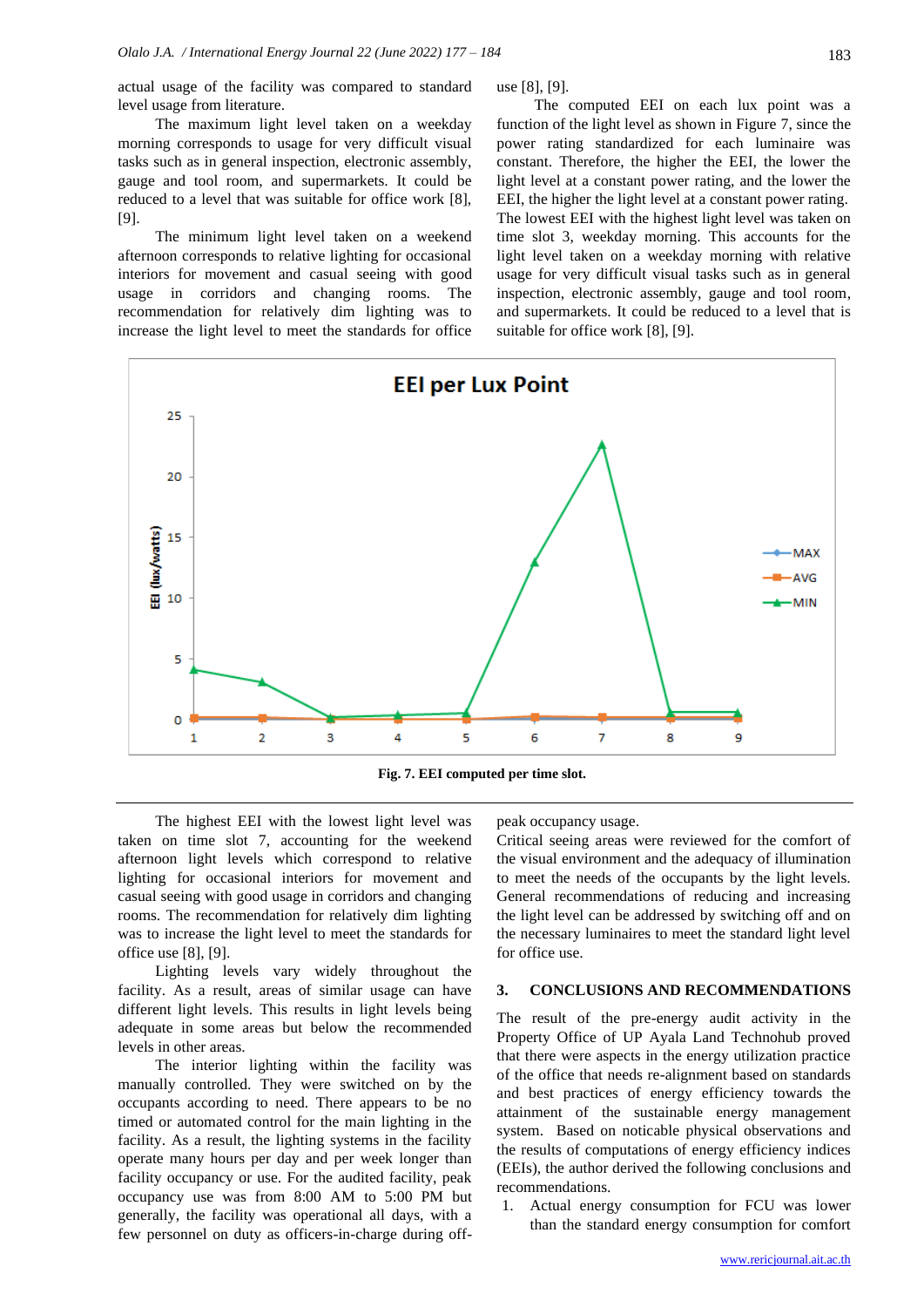The maximum light level taken on a weekday morning corresponds to usage for very difficult visual tasks such as in general inspection, electronic assembly, gauge and tool room, and supermarkets. It could be reduced to a level that was suitable for office work [8], [9].

The minimum light level taken on a weekend afternoon corresponds to relative lighting for occasional interiors for movement and casual seeing with good usage in corridors and changing rooms. The recommendation for relatively dim lighting was to increase the light level to meet the standards for office

use [8], [9].

The computed EEI on each lux point was a function of the light level as shown in Figure 7, since the power rating standardized for each luminaire was constant. Therefore, the higher the EEI, the lower the light level at a constant power rating, and the lower the EEI, the higher the light level at a constant power rating. The lowest EEI with the highest light level was taken on time slot 3, weekday morning. This accounts for the light level taken on a weekday morning with relative usage for very difficult visual tasks such as in general inspection, electronic assembly, gauge and tool room, and supermarkets. It could be reduced to a level that is suitable for office work [8], [9].



The highest EEI with the lowest light level was taken on time slot 7, accounting for the weekend afternoon light levels which correspond to relative lighting for occasional interiors for movement and casual seeing with good usage in corridors and changing rooms. The recommendation for relatively dim lighting was to increase the light level to meet the standards for office use [8], [9].

Lighting levels vary widely throughout the facility. As a result, areas of similar usage can have different light levels. This results in light levels being adequate in some areas but below the recommended levels in other areas.

The interior lighting within the facility was manually controlled. They were switched on by the occupants according to need. There appears to be no timed or automated control for the main lighting in the facility. As a result, the lighting systems in the facility operate many hours per day and per week longer than facility occupancy or use. For the audited facility, peak occupancy use was from 8:00 AM to 5:00 PM but generally, the facility was operational all days, with a few personnel on duty as officers-in-charge during offpeak occupancy usage.

Critical seeing areas were reviewed for the comfort of the visual environment and the adequacy of illumination to meet the needs of the occupants by the light levels. General recommendations of reducing and increasing the light level can be addressed by switching off and on the necessary luminaires to meet the standard light level for office use.

#### **3. CONCLUSIONS AND RECOMMENDATIONS**

The result of the pre-energy audit activity in the Property Office of UP Ayala Land Technohub proved that there were aspects in the energy utilization practice of the office that needs re-alignment based on standards and best practices of energy efficiency towards the attainment of the sustainable energy management system. Based on noticable physical observations and the results of computations of energy efficiency indices (EEIs), the author derived the following conclusions and recommendations.

1. Actual energy consumption for FCU was lower than the standard energy consumption for comfort